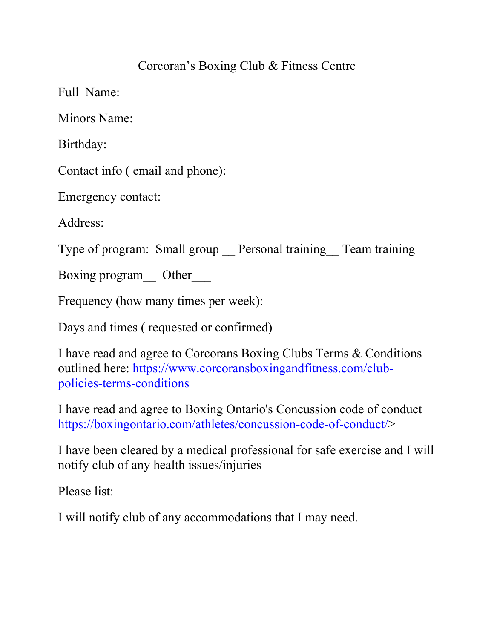## Corcoran's Boxing Club & Fitness Centre

Full Name:

Minors Name:

Birthday:

Contact info ( email and phone):

Emergency contact:

Address:

Type of program: Small group Personal training Team training

Boxing program Other

Frequency (how many times per week):

Days and times ( requested or confirmed)

I have read and agree to Corcorans Boxing Clubs Terms & Conditions outlined here: [https://www.corcoransboxingandfitness.com/club](https://www.corcoransboxingandfitness.com/club-policies-terms-conditions)[policies-terms-conditions](https://www.corcoransboxingandfitness.com/club-policies-terms-conditions)

I have read and agree to Boxing Ontario's Concussion code of conduct [https://boxingontario.com/athletes/concussion-code-of-conduct/>](https://boxingontario.com/athletes/concussion-code-of-conduct/)

I have been cleared by a medical professional for safe exercise and I will notify club of any health issues/injuries

\_\_\_\_\_\_\_\_\_\_\_\_\_\_\_\_\_\_\_\_\_\_\_\_\_\_\_\_\_\_\_\_\_\_\_\_\_\_\_\_\_\_\_\_\_\_\_\_\_\_\_\_\_\_\_\_\_\_

Please list:

I will notify club of any accommodations that I may need.